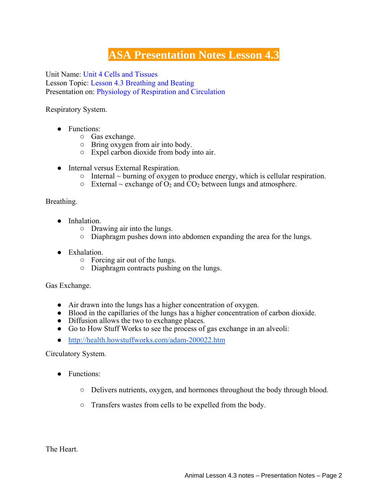## **ASA Presentation Notes Lesson 4.3**

Unit Name: Unit 4 Cells and Tissues Lesson Topic: Lesson 4.3 Breathing and Beating Presentation on: Physiology of Respiration and Circulation

Respiratory System.

- Functions:
	- Gas exchange.
	- Bring oxygen from air into body.
	- Expel carbon dioxide from body into air.
- Internal versus External Respiration.
	- Internal ~ burning of oxygen to produce energy, which is cellular respiration.
	- $\circ$  External ~ exchange of  $O_2$  and  $CO_2$  between lungs and atmosphere.

## Breathing.

- Inhalation.
	- Drawing air into the lungs.
	- Diaphragm pushes down into abdomen expanding the area for the lungs.
- Exhalation.
	- Forcing air out of the lungs.
	- Diaphragm contracts pushing on the lungs.

Gas Exchange.

- Air drawn into the lungs has a higher concentration of oxygen.
- Blood in the capillaries of the lungs has a higher concentration of carbon dioxide.
- Diffusion allows the two to exchange places.
- Go to How Stuff Works to see the process of gas exchange in an alveoli:
- http://health.howstuffworks.com/adam-200022.htm

Circulatory System.

- Functions:
	- Delivers nutrients, oxygen, and hormones throughout the body through blood.
	- Transfers wastes from cells to be expelled from the body.

The Heart.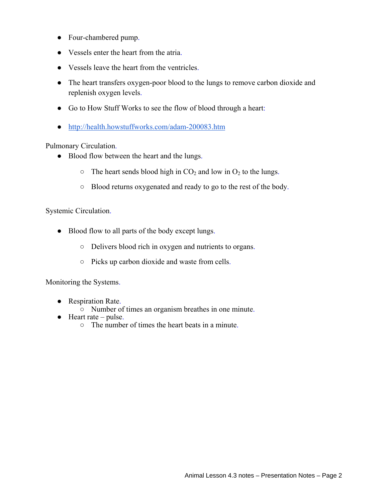- Four-chambered pump.
- Vessels enter the heart from the atria.
- Vessels leave the heart from the ventricles.
- The heart transfers oxygen-poor blood to the lungs to remove carbon dioxide and replenish oxygen levels.
- Go to How Stuff Works to see the flow of blood through a heart:
- http://health.howstuffworks.com/adam-200083.htm

Pulmonary Circulation.

- Blood flow between the heart and the lungs.
	- $\circ$  The heart sends blood high in CO<sub>2</sub> and low in O<sub>2</sub> to the lungs.
	- Blood returns oxygenated and ready to go to the rest of the body.

Systemic Circulation.

- Blood flow to all parts of the body except lungs.
	- Delivers blood rich in oxygen and nutrients to organs.
	- Picks up carbon dioxide and waste from cells.

Monitoring the Systems.

- Respiration Rate.
	- Number of times an organism breathes in one minute.
- $\bullet$  Heart rate pulse.
	- The number of times the heart beats in a minute.